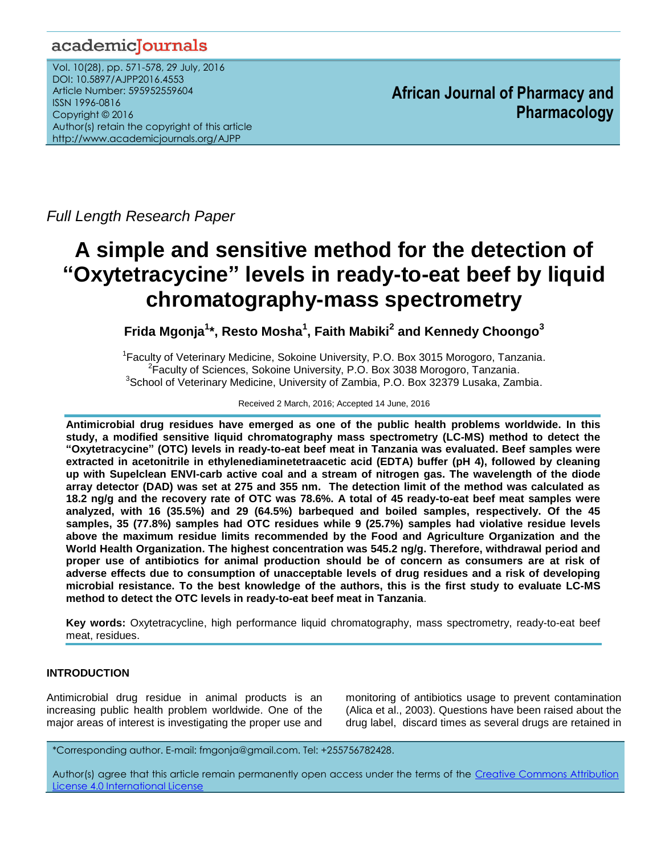## academicJournals

Vol. 10(28), pp. 571-578, 29 July, 2016 DOI: 10.5897/AJPP2016.4553 Article Number: 595952559604 ISSN 1996-0816 Copyright © 2016 Author(s) retain the copyright of this article http://www.academicjournals.org/AJPP

**African Journal of Pharmacy and Pharmacology**

*Full Length Research Paper*

# **A simple and sensitive method for the detection of "Oxytetracycine" levels in ready-to-eat beef by liquid chromatography-mass spectrometry**

**Frida Mgonja<sup>1</sup> \*, Resto Mosha<sup>1</sup> , Faith Mabiki<sup>2</sup> and Kennedy Choongo<sup>3</sup>**

<sup>1</sup> Faculty of Veterinary Medicine, Sokoine University, P.O. Box 3015 Morogoro, Tanzania. <sup>2</sup>Faculty of Sciences, Sokoine University, P.O. Box 3038 Morogoro, Tanzania. <sup>3</sup>School of Veterinary Medicine, University of Zambia, P.O. Box 32379 Lusaka, Zambia.

Received 2 March, 2016; Accepted 14 June, 2016

**Antimicrobial drug residues have emerged as one of the public health problems worldwide. In this study, a modified sensitive liquid chromatography mass spectrometry (LC-MS) method to detect the "Oxytetracycine" (OTC) levels in ready-to-eat beef meat in Tanzania was evaluated. Beef samples were extracted in acetonitrile in ethylenediaminetetraacetic acid (EDTA) buffer (pH 4), followed by cleaning up with Supelclean ENVI-carb active coal and a stream of nitrogen gas. The wavelength of the diode array detector (DAD) was set at 275 and 355 nm. The detection limit of the method was calculated as 18.2 ng/g and the recovery rate of OTC was 78.6%. A total of 45 ready-to-eat beef meat samples were analyzed, with 16 (35.5%) and 29 (64.5%) barbequed and boiled samples, respectively. Of the 45 samples, 35 (77.8%) samples had OTC residues while 9 (25.7%) samples had violative residue levels above the maximum residue limits recommended by the Food and Agriculture Organization and the World Health Organization. The highest concentration was 545.2 ng/g. Therefore, withdrawal period and proper use of antibiotics for animal production should be of concern as consumers are at risk of adverse effects due to consumption of unacceptable levels of drug residues and a risk of developing microbial resistance. To the best knowledge of the authors, this is the first study to evaluate LC-MS method to detect the OTC levels in ready-to-eat beef meat in Tanzania**.

**Key words:** Oxytetracycline, high performance liquid chromatography, mass spectrometry, ready-to-eat beef meat, residues.

## **INTRODUCTION**

Antimicrobial drug residue in animal products is an increasing public health problem worldwide. One of the major areas of interest is investigating the proper use and monitoring of antibiotics usage to prevent contamination (Alica et al., 2003). Questions have been raised about the drug label, discard times as several drugs are retained in

\*Corresponding author. E-mail: fmgonja@gmail.com. Tel: +255756782428.

Author(s) agree that this article remain permanently open access under the terms of the Creative Commons Attribution [License 4.0 International License](http://creativecommons.org/licenses/by/4.0/deed.en_US)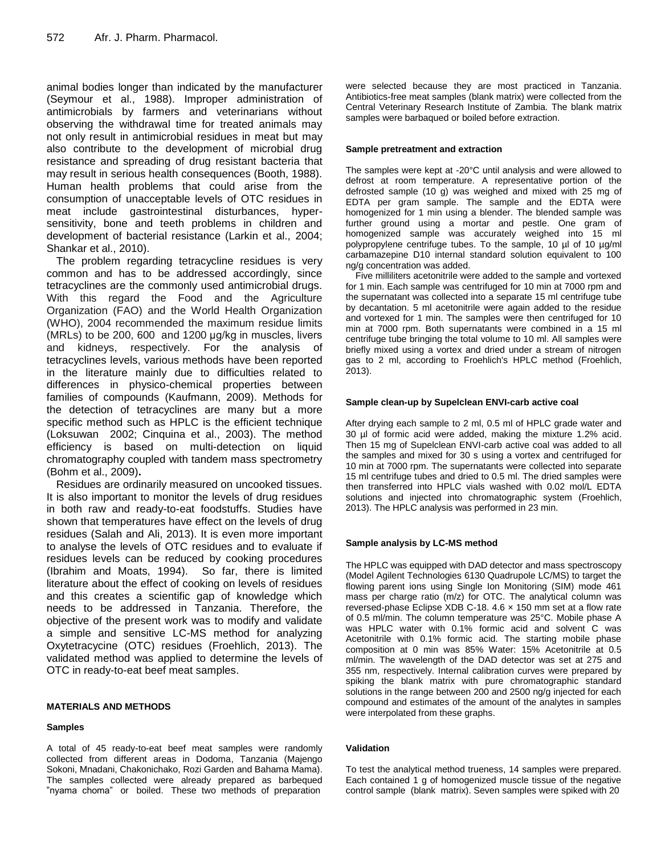animal bodies longer than indicated by the manufacturer (Seymour et al., 1988). Improper administration of antimicrobials by farmers and veterinarians without observing the withdrawal time for treated animals may not only result in antimicrobial residues in meat but may also contribute to the development of microbial drug resistance and spreading of drug resistant bacteria that may result in serious health consequences (Booth, 1988). Human health problems that could arise from the consumption of unacceptable levels of OTC residues in meat include gastrointestinal disturbances, hypersensitivity, bone and teeth problems in children and development of bacterial resistance (Larkin et al., 2004; Shankar et al., 2010).

The problem regarding tetracycline residues is very common and has to be addressed accordingly, since tetracyclines are the commonly used antimicrobial drugs. With this regard the Food and the Agriculture Organization (FAO) and the World Health Organization (WHO), 2004 recommended the maximum residue limits (MRLs) to be 200, 600 and 1200 μg/kg in muscles, livers and kidneys, respectively. For the analysis of tetracyclines levels, various methods have been reported in the literature mainly due to difficulties related to differences in physico-chemical properties between families of compounds (Kaufmann, 2009). Methods for the detection of tetracyclines are many but a more specific method such as HPLC is the efficient technique (Loksuwan 2002; Cinquina et al., 2003). The method efficiency is based on multi-detection on liquid chromatography coupled with tandem mass spectrometry (Bohm et al., 2009)**.** 

Residues are ordinarily measured on uncooked tissues. It is also important to monitor the levels of drug residues in both raw and ready-to-eat foodstuffs. Studies have shown that temperatures have effect on the levels of drug residues (Salah and Ali, 2013). It is even more important to analyse the levels of OTC residues and to evaluate if residues levels can be reduced by cooking procedures (Ibrahim and Moats, 1994). So far, there is limited literature about the effect of cooking on levels of residues and this creates a scientific gap of knowledge which needs to be addressed in Tanzania. Therefore, the objective of the present work was to modify and validate a simple and sensitive LC-MS method for analyzing Oxytetracycine (OTC) residues (Froehlich, 2013). The validated method was applied to determine the levels of OTC in ready-to-eat beef meat samples.

## **MATERIALS AND METHODS**

#### **Samples**

A total of 45 ready-to-eat beef meat samples were randomly collected from different areas in Dodoma, Tanzania (Majengo Sokoni, Mnadani, Chakonichako, Rozi Garden and Bahama Mama). The samples collected were already prepared as barbequed "nyama choma" or boiled. These two methods of preparation

were selected because they are most practiced in Tanzania. Antibiotics-free meat samples (blank matrix) were collected from the Central Veterinary Research Institute of Zambia. The blank matrix samples were barbaqued or boiled before extraction.

#### **Sample pretreatment and extraction**

The samples were kept at -20°C until analysis and were allowed to defrost at room temperature. A representative portion of the defrosted sample (10 g) was weighed and mixed with 25 mg of EDTA per gram sample. The sample and the EDTA were homogenized for 1 min using a blender. The blended sample was further ground using a mortar and pestle. One gram of homogenized sample was accurately weighed into 15 ml polypropylene centrifuge tubes. To the sample, 10 µl of 10 µg/ml carbamazepine D10 internal standard solution equivalent to 100 ng/g concentration was added.

Five milliliters acetonitrile were added to the sample and vortexed for 1 min. Each sample was centrifuged for 10 min at 7000 rpm and the supernatant was collected into a separate 15 ml centrifuge tube by decantation. 5 ml acetonitrile were again added to the residue and vortexed for 1 min. The samples were then centrifuged for 10 min at 7000 rpm. Both supernatants were combined in a 15 ml centrifuge tube bringing the total volume to 10 ml. All samples were briefly mixed using a vortex and dried under a stream of nitrogen gas to 2 ml, according to Froehlich's HPLC method (Froehlich, 2013).

## **Sample clean-up by Supelclean ENVI-carb active coal**

After drying each sample to 2 ml, 0.5 ml of HPLC grade water and 30 µl of formic acid were added, making the mixture 1.2% acid. Then 15 mg of Supelclean ENVI-carb active coal was added to all the samples and mixed for 30 s using a vortex and centrifuged for 10 min at 7000 rpm. The supernatants were collected into separate 15 ml centrifuge tubes and dried to 0.5 ml. The dried samples were then transferred into HPLC vials washed with 0.02 mol/L EDTA solutions and injected into chromatographic system (Froehlich, 2013). The HPLC analysis was performed in 23 min.

#### **Sample analysis by LC-MS method**

The HPLC was equipped with DAD detector and mass spectroscopy (Model Agilent Technologies 6130 Quadrupole LC/MS) to target the flowing parent ions using Single Ion Monitoring (SIM) mode 461 mass per charge ratio (m/z) for OTC. The analytical column was reversed-phase Eclipse XDB C-18. 4.6 × 150 mm set at a flow rate of 0.5 ml/min. The column temperature was 25°C. Mobile phase A was HPLC water with 0.1% formic acid and solvent C was Acetonitrile with 0.1% formic acid. The starting mobile phase composition at 0 min was 85% Water: 15% Acetonitrile at 0.5 ml/min. The wavelength of the DAD detector was set at 275 and 355 nm, respectively. Internal calibration curves were prepared by spiking the blank matrix with pure chromatographic standard solutions in the range between 200 and 2500 ng/g injected for each compound and estimates of the amount of the analytes in samples were interpolated from these graphs.

#### **Validation**

To test the analytical method trueness, 14 samples were prepared. Each contained 1 g of homogenized muscle tissue of the negative control sample (blank matrix). Seven samples were spiked with 20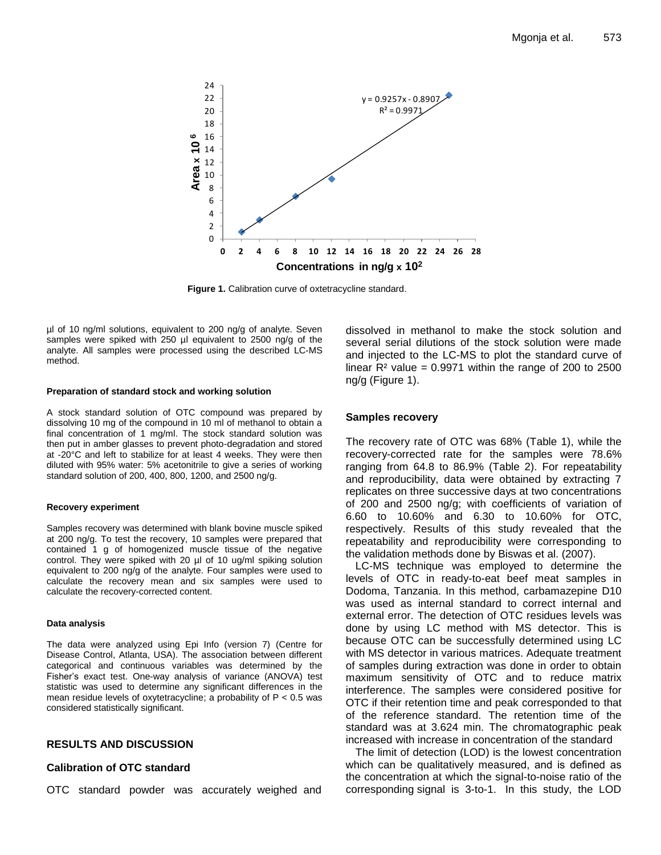

**Figure 1.** Calibration curve of oxtetracycline standard.

µl of 10 ng/ml solutions, equivalent to 200 ng/g of analyte. Seven samples were spiked with 250 µl equivalent to 2500 ng/g of the analyte. All samples were processed using the described LC-MS method.

#### **Preparation of standard stock and working solution**

A stock standard solution of OTC compound was prepared by dissolving 10 mg of the compound in 10 ml of methanol to obtain a final concentration of 1 mg/ml. The stock standard solution was then put in amber glasses to prevent photo-degradation and stored at -20°C and left to stabilize for at least 4 weeks. They were then diluted with 95% water: 5% acetonitrile to give a series of working standard solution of 200, 400, 800, 1200, and 2500 ng/g.

#### **Recovery experiment**

Samples recovery was determined with blank bovine muscle spiked at 200 ng/g. To test the recovery, 10 samples were prepared that contained 1 g of homogenized muscle tissue of the negative control. They were spiked with 20 µl of 10 ug/ml spiking solution equivalent to 200 ng/g of the analyte. Four samples were used to calculate the recovery mean and six samples were used to calculate the recovery-corrected content.

#### **Data analysis**

The data were analyzed using Epi Info (version 7) (Centre for Disease Control, Atlanta, USA). The association between different categorical and continuous variables was determined by the Fisher's exact test. One-way analysis of variance (ANOVA) test statistic was used to determine any significant differences in the mean residue levels of oxytetracycline; a probability of  $P < 0.5$  was considered statistically significant.

## **RESULTS AND DISCUSSION**

## **Calibration of OTC standard**

OTC standard powder was accurately weighed and

dissolved in methanol to make the stock solution and several serial dilutions of the stock solution were made and injected to the LC-MS to plot the standard curve of linear  $R<sup>2</sup>$  value = 0.9971 within the range of 200 to 2500 ng/g (Figure 1).

### **Samples recovery**

The recovery rate of OTC was 68% (Table 1), while the recovery-corrected rate for the samples were 78.6% ranging from 64.8 to 86.9% (Table 2). For repeatability and reproducibility, data were obtained by extracting 7 replicates on three successive days at two concentrations of 200 and 2500 ng/g; with coefficients of variation of 6.60 to 10.60% and 6.30 to 10.60% for OTC, respectively. Results of this study revealed that the repeatability and reproducibility were corresponding to the validation methods done by Biswas et al. (2007).

LC-MS technique was employed to determine the levels of OTC in ready-to-eat beef meat samples in Dodoma, Tanzania. In this method, carbamazepine D10 was used as internal standard to correct internal and external error. The detection of OTC residues levels was done by using LC method with MS detector. This is because OTC can be successfully determined using LC with MS detector in various matrices. Adequate treatment of samples during extraction was done in order to obtain maximum sensitivity of OTC and to reduce matrix interference. The samples were considered positive for OTC if their retention time and peak corresponded to that of the reference standard. The retention time of the standard was at 3.624 min. The chromatographic peak increased with increase in concentration of the standard

The limit of detection (LOD) is the lowest concentration which can be qualitatively measured, and is defined as the concentration at which the signal-to-noise ratio of the corresponding signal is 3-to-1. In this study, the LOD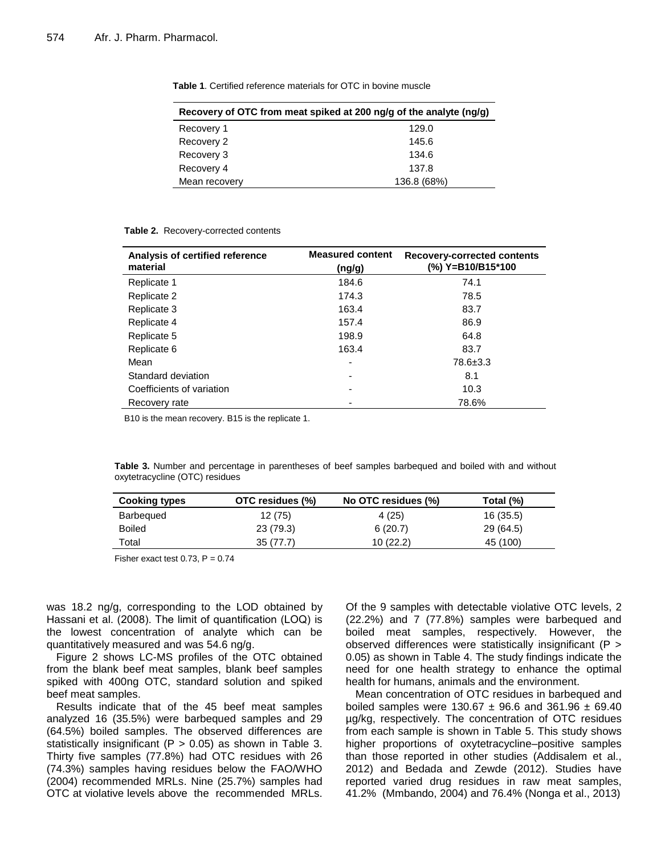| Recovery of OTC from meat spiked at 200 ng/g of the analyte (ng/g) |             |  |  |
|--------------------------------------------------------------------|-------------|--|--|
| Recovery 1                                                         | 129.0       |  |  |
| Recovery 2                                                         | 145.6       |  |  |
| Recovery 3                                                         | 134.6       |  |  |
| Recovery 4                                                         | 137.8       |  |  |
| Mean recovery                                                      | 136.8 (68%) |  |  |

| <b>Table 1.</b> Certified reference materials for OTC in bovine muscle |  |  |
|------------------------------------------------------------------------|--|--|
|------------------------------------------------------------------------|--|--|

| Analysis of certified reference<br>material | <b>Measured content</b><br>(ng/g) | <b>Recovery-corrected contents</b><br>(%) Y=B10/B15*100 |
|---------------------------------------------|-----------------------------------|---------------------------------------------------------|
| Replicate 1                                 | 184.6                             | 74.1                                                    |
| Replicate 2                                 | 174.3                             | 78.5                                                    |
| Replicate 3                                 | 163.4                             | 83.7                                                    |
| Replicate 4                                 | 157.4                             | 86.9                                                    |
| Replicate 5                                 | 198.9                             | 64.8                                                    |
| Replicate 6                                 | 163.4                             | 83.7                                                    |
| Mean                                        | ۰                                 | 78.6±3.3                                                |
| Standard deviation                          | ۰                                 | 8.1                                                     |
| Coefficients of variation                   |                                   | 10.3                                                    |
| Recovery rate                               |                                   | 78.6%                                                   |

B10 is the mean recovery. B15 is the replicate 1.

**Table 2.** Recovery-corrected contents

**Table 3.** Number and percentage in parentheses of beef samples barbequed and boiled with and without oxytetracycline (OTC) residues

| <b>Cooking types</b> | OTC residues (%) | No OTC residues (%) | Total (%) |
|----------------------|------------------|---------------------|-----------|
| Barbequed            | 12 (75)          | 4(25)               | 16 (35.5) |
| <b>Boiled</b>        | 23 (79.3)        | 6(20.7)             | 29 (64.5) |
| Total                | 35(77.7)         | 10(22.2)            | 45 (100)  |

Fisher exact test 0.73,  $P = 0.74$ 

was 18.2 ng/g, corresponding to the LOD obtained by Hassani et al. (2008). The limit of quantification (LOQ) is the lowest concentration of analyte which can be quantitatively measured and was 54.6 ng/g.

Figure 2 shows LC-MS profiles of the OTC obtained from the blank beef meat samples, blank beef samples spiked with 400ng OTC, standard solution and spiked beef meat samples.

Results indicate that of the 45 beef meat samples analyzed 16 (35.5%) were barbequed samples and 29 (64.5%) boiled samples. The observed differences are statistically insignificant ( $P > 0.05$ ) as shown in Table 3. Thirty five samples (77.8%) had OTC residues with 26 (74.3%) samples having residues below the FAO/WHO (2004) recommended MRLs. Nine (25.7%) samples had OTC at violative levels above the recommended MRLs. Of the 9 samples with detectable violative OTC levels, 2 (22.2%) and 7 (77.8%) samples were barbequed and boiled meat samples, respectively. However, the observed differences were statistically insignificant (P > 0.05) as shown in Table 4. The study findings indicate the need for one health strategy to enhance the optimal health for humans, animals and the environment.

Mean concentration of OTC residues in barbequed and boiled samples were 130.67  $\pm$  96.6 and 361.96  $\pm$  69.40 µg/kg, respectively. The concentration of OTC residues from each sample is shown in Table 5. This study shows higher proportions of oxytetracycline–positive samples than those reported in other studies (Addisalem et al., 2012) and Bedada and Zewde (2012). Studies have reported varied drug residues in raw meat samples, 41.2% (Mmbando, 2004) and 76.4% (Nonga et al., 2013)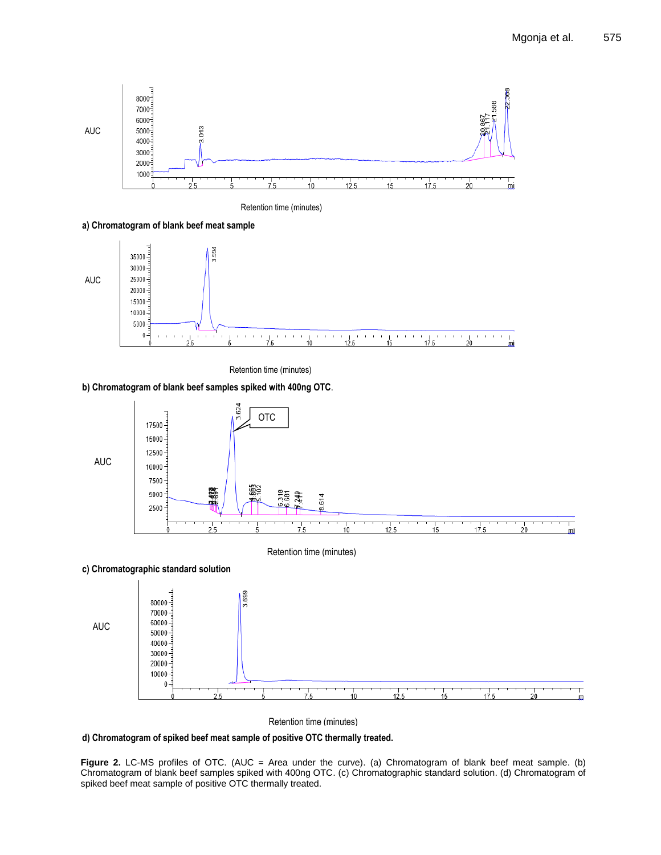m



Retention time (minutes)

**a) Chromatogram of blank beef meat sample**



Retention time (minutes)

## **b) Chromatogram of blank beef samples spiked with 400ng OTC**.



Retention time (minutes)

**d) Chromatogram of spiked beef meat sample of positive OTC thermally treated.**

Figure 2. LC-MS profiles of OTC. (AUC = Area under the curve). (a) Chromatogram of blank beef meat sample. (b) Chromatogram of blank beef samples spiked with 400ng OTC. (c) Chromatographic standard solution. (d) Chromatogram of spiked beef meat sample of positive OTC thermally treated.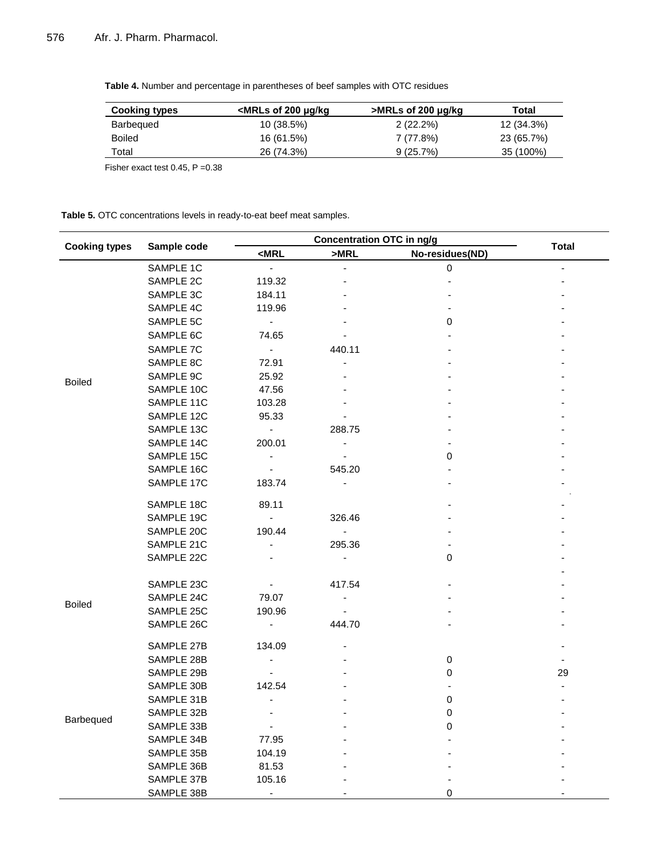**Table 4.** Number and percentage in parentheses of beef samples with OTC residues

| <b>Cooking types</b> | <mrls 200="" kg<="" of="" th="" μg=""><th>&gt;MRLs of 200 µg/kg</th><th>Total</th></mrls> | >MRLs of 200 µg/kg | Total      |
|----------------------|-------------------------------------------------------------------------------------------|--------------------|------------|
| <b>Barbequed</b>     | 10 (38.5%)                                                                                | $2(22.2\%)$        | 12 (34.3%) |
| <b>Boiled</b>        | 16 (61.5%)                                                                                | 7 (77.8%)          | 23 (65.7%) |
| Total                | 26 (74.3%)                                                                                | $9(25.7\%)$        | 35 (100%)  |

Fisher exact test  $0.45$ ,  $P = 0.38$ 

**Table 5.** OTC concentrations levels in ready-to-eat beef meat samples.

| <b>Cooking types</b> | Sample code | <b>Concentration OTC in ng/g</b> |                          |                 |              |
|----------------------|-------------|----------------------------------|--------------------------|-----------------|--------------|
|                      |             | $<$ MRL                          | >MRL                     | No-residues(ND) | <b>Total</b> |
|                      | SAMPLE 1C   | $\overline{\phantom{a}}$         |                          | $\pmb{0}$       |              |
|                      | SAMPLE 2C   | 119.32                           |                          |                 |              |
|                      | SAMPLE 3C   | 184.11                           |                          |                 |              |
|                      | SAMPLE 4C   | 119.96                           |                          |                 |              |
|                      | SAMPLE 5C   | $\sim$                           |                          | 0               |              |
|                      | SAMPLE 6C   | 74.65                            |                          |                 |              |
|                      | SAMPLE 7C   | $\sim$                           | 440.11                   |                 |              |
|                      | SAMPLE 8C   | 72.91                            |                          |                 |              |
| <b>Boiled</b>        | SAMPLE 9C   | 25.92                            |                          |                 |              |
|                      | SAMPLE 10C  | 47.56                            |                          |                 |              |
|                      | SAMPLE 11C  | 103.28                           |                          |                 |              |
|                      | SAMPLE 12C  | 95.33                            |                          |                 |              |
|                      | SAMPLE 13C  | $\sim$                           | 288.75                   |                 |              |
|                      | SAMPLE 14C  | 200.01                           | $\overline{\phantom{0}}$ |                 |              |
|                      | SAMPLE 15C  | $\overline{\phantom{a}}$         |                          | 0               |              |
|                      | SAMPLE 16C  |                                  | 545.20                   |                 |              |
|                      | SAMPLE 17C  | 183.74                           | $\overline{\phantom{a}}$ |                 |              |
|                      |             |                                  |                          |                 |              |
|                      | SAMPLE 18C  | 89.11                            |                          |                 |              |
|                      | SAMPLE 19C  | $\sim$                           | 326.46                   |                 |              |
|                      | SAMPLE 20C  | 190.44                           | $\overline{\phantom{a}}$ |                 |              |
|                      | SAMPLE 21C  | $\frac{1}{2}$                    | 295.36                   |                 |              |
|                      | SAMPLE 22C  |                                  |                          | 0               |              |
|                      |             |                                  |                          |                 |              |
|                      | SAMPLE 23C  |                                  | 417.54                   |                 |              |
| <b>Boiled</b>        | SAMPLE 24C  | 79.07                            | $\overline{\phantom{a}}$ |                 |              |
|                      | SAMPLE 25C  | 190.96                           |                          |                 |              |
|                      | SAMPLE 26C  | $\blacksquare$                   | 444.70                   |                 |              |
|                      | SAMPLE 27B  | 134.09                           |                          |                 |              |
|                      | SAMPLE 28B  | $\blacksquare$                   |                          | 0               |              |
|                      | SAMPLE 29B  |                                  |                          | 0               | 29           |
|                      | SAMPLE 30B  | 142.54                           |                          |                 |              |
|                      | SAMPLE 31B  |                                  |                          | 0               |              |
|                      | SAMPLE 32B  |                                  |                          | 0               |              |
| Barbequed            | SAMPLE 33B  | $\overline{\phantom{0}}$         |                          | 0               |              |
|                      | SAMPLE 34B  | 77.95                            |                          |                 |              |
|                      | SAMPLE 35B  | 104.19                           |                          |                 |              |
|                      | SAMPLE 36B  | 81.53                            |                          |                 |              |
|                      | SAMPLE 37B  | 105.16                           |                          |                 |              |
|                      | SAMPLE 38B  |                                  |                          | 0               |              |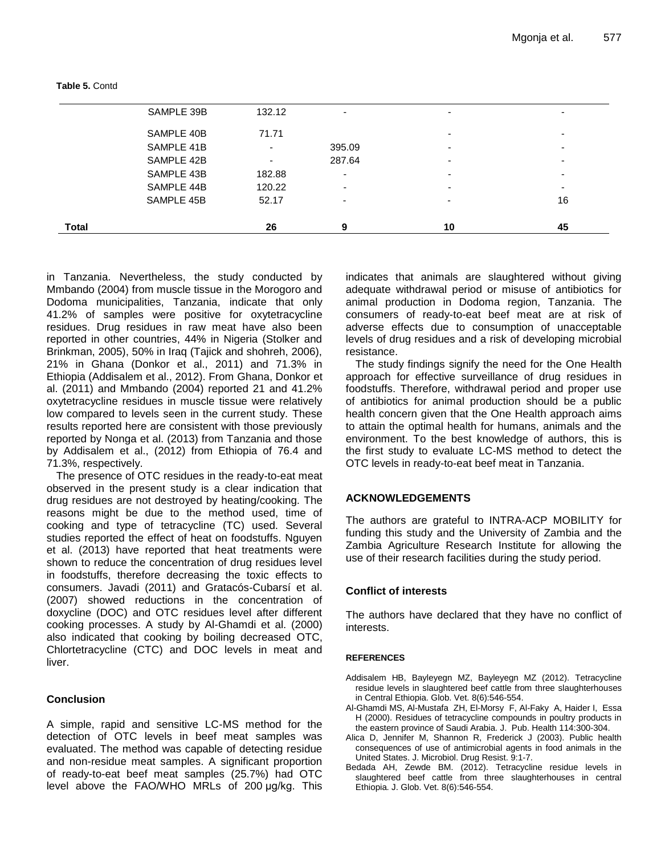| SAMPLE 45B | 52.17                    | $\overline{\phantom{0}}$ | - | 16                       |
|------------|--------------------------|--------------------------|---|--------------------------|
| SAMPLE 44B | 120.22                   | -                        | - | -                        |
| SAMPLE 43B | 182.88                   | -                        | - |                          |
| SAMPLE 42B | $\overline{\phantom{0}}$ | 287.64                   | - | -                        |
| SAMPLE 41B | $\overline{\phantom{0}}$ | 395.09                   | - | $\overline{\phantom{0}}$ |
| SAMPLE 40B | 71.71                    |                          | - | -                        |
| SAMPLE 39B | 132.12                   | -                        | - | -                        |

**Table 5.** Contd

in Tanzania. Nevertheless, the study conducted by Mmbando (2004) from muscle tissue in the Morogoro and Dodoma municipalities, Tanzania, indicate that only 41.2% of samples were positive for oxytetracycline residues. Drug residues in raw meat have also been reported in other countries, 44% in Nigeria (Stolker and Brinkman, 2005), 50% in Iraq (Tajick and shohreh, 2006), 21% in Ghana (Donkor et al., 2011) and 71.3% in Ethiopia (Addisalem et al., 2012). From Ghana, Donkor et al. (2011) and Mmbando (2004) reported 21 and 41.2% oxytetracycline residues in muscle tissue were relatively low compared to levels seen in the current study. These results reported here are consistent with those previously reported by Nonga et al. (2013) from Tanzania and those by Addisalem et al., (2012) from Ethiopia of 76.4 and 71.3%, respectively.

The presence of OTC residues in the ready-to-eat meat observed in the present study is a clear indication that drug residues are not destroyed by heating/cooking. The reasons might be due to the method used, time of cooking and type of tetracycline (TC) used. Several studies reported the effect of heat on foodstuffs. Nguyen et al. (2013) have reported that heat treatments were shown to reduce the concentration of drug residues level in foodstuffs, therefore decreasing the toxic effects to consumers. Javadi (2011) and Gratacós-Cubarsí et al. (2007) showed reductions in the concentration of doxycline (DOC) and OTC residues level after different cooking processes. A study by Al-Ghamdi et al. (2000) also indicated that cooking by boiling decreased OTC, Chlortetracycline (CTC) and DOC levels in meat and liver.

## **Conclusion**

A simple, rapid and sensitive LC-MS method for the detection of OTC levels in beef meat samples was evaluated. The method was capable of detecting residue and non-residue meat samples. A significant proportion of ready-to-eat beef meat samples (25.7%) had OTC level above the FAO/WHO MRLs of 200 μg/kg. This

indicates that animals are slaughtered without giving adequate withdrawal period or misuse of antibiotics for animal production in Dodoma region, Tanzania. The consumers of ready-to-eat beef meat are at risk of adverse effects due to consumption of unacceptable levels of drug residues and a risk of developing microbial resistance.

The study findings signify the need for the One Health approach for effective surveillance of drug residues in foodstuffs. Therefore, withdrawal period and proper use of antibiotics for animal production should be a public health concern given that the One Health approach aims to attain the optimal health for humans, animals and the environment. To the best knowledge of authors, this is the first study to evaluate LC-MS method to detect the OTC levels in ready-to-eat beef meat in Tanzania.

## **ACKNOWLEDGEMENTS**

The authors are grateful to INTRA-ACP MOBILITY for funding this study and the University of Zambia and the Zambia Agriculture Research Institute for allowing the use of their research facilities during the study period.

## **Conflict of interests**

The authors have declared that they have no conflict of interests.

## **REFERENCES**

- Addisalem HB, Bayleyegn MZ, Bayleyegn MZ (2012). Tetracycline residue levels in slaughtered beef cattle from three slaughterhouses in Central Ethiopia. Glob. Vet. 8(6):546-554.
- Al-Ghamdi MS, Al-Mustafa ZH, El-Morsy F, Al-Faky A, Haider I, Essa H (2000). Residues of tetracycline compounds in poultry products in the eastern province of Saudi Arabia. J. Pub. Health 114:300-304.
- Alica D, Jennifer M, Shannon R, Frederick J (2003). Public health consequences of use of antimicrobial agents in food animals in the United States. J. Microbiol. Drug Resist. 9:1-7.
- Bedada AH, Zewde BM. (2012). Tetracycline residue levels in slaughtered beef cattle from three slaughterhouses in central Ethiopia. J. Glob. Vet. 8(6):546-554.